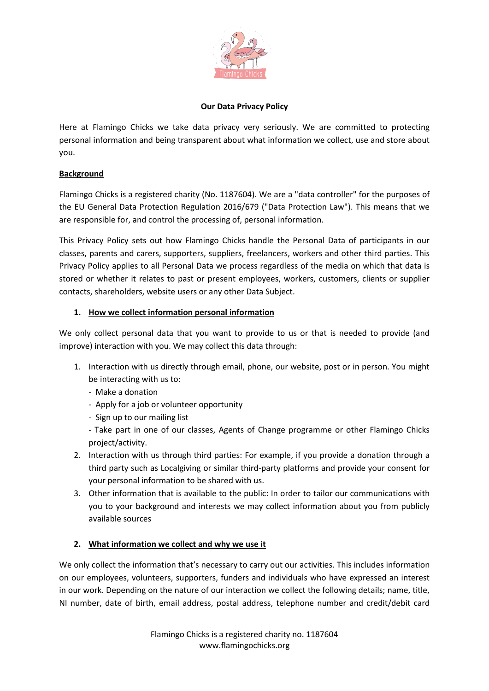

### **Our Data Privacy Policy**

Here at Flamingo Chicks we take data privacy very seriously. We are committed to protecting personal information and being transparent about what information we collect, use and store about you.

### **Background**

Flamingo Chicks is a registered charity (No. 1187604). We are a "data controller" for the purposes of the EU General Data Protection Regulation 2016/679 ("Data Protection Law"). This means that we are responsible for, and control the processing of, personal information.

This Privacy Policy sets out how Flamingo Chicks handle the Personal Data of participants in our classes, parents and carers, supporters, suppliers, freelancers, workers and other third parties. This Privacy Policy applies to all Personal Data we process regardless of the media on which that data is stored or whether it relates to past or present employees, workers, customers, clients or supplier contacts, shareholders, website users or any other Data Subject.

### **1. How we collect information personal information**

We only collect personal data that you want to provide to us or that is needed to provide (and improve) interaction with you. We may collect this data through:

- 1. Interaction with us directly through email, phone, our website, post or in person. You might be interacting with us to:
	- Make a donation
	- Apply for a job or volunteer opportunity
	- Sign up to our mailing list
	- Take part in one of our classes, Agents of Change programme or other Flamingo Chicks project/activity.
- 2. Interaction with us through third parties: For example, if you provide a donation through a third party such as Localgiving or similar third-party platforms and provide your consent for your personal information to be shared with us.
- 3. Other information that is available to the public: In order to tailor our communications with you to your background and interests we may collect information about you from publicly available sources

# **2. What information we collect and why we use it**

We only collect the information that's necessary to carry out our activities. This includes information on our employees, volunteers, supporters, funders and individuals who have expressed an interest in our work. Depending on the nature of our interaction we collect the following details; name, title, NI number, date of birth, email address, postal address, telephone number and credit/debit card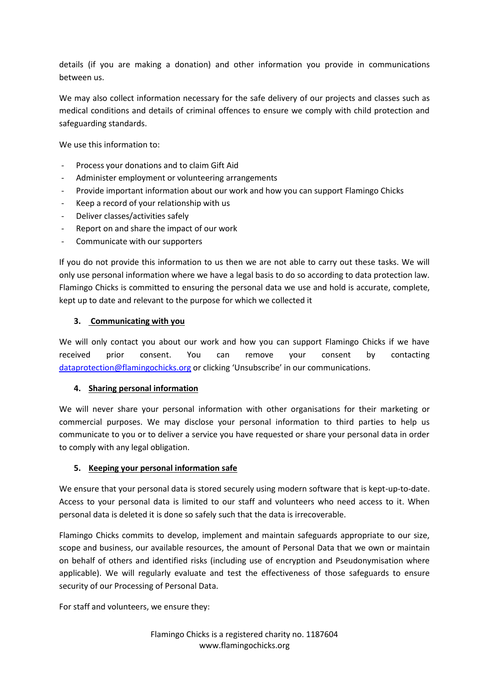details (if you are making a donation) and other information you provide in communications between us.

We may also collect information necessary for the safe delivery of our projects and classes such as medical conditions and details of criminal offences to ensure we comply with child protection and safeguarding standards.

We use this information to:

- Process your donations and to claim Gift Aid
- Administer employment or volunteering arrangements
- Provide important information about our work and how you can support Flamingo Chicks
- Keep a record of your relationship with us
- Deliver classes/activities safely
- Report on and share the impact of our work
- Communicate with our supporters

If you do not provide this information to us then we are not able to carry out these tasks. We will only use personal information where we have a legal basis to do so according to data protection law. Flamingo Chicks is committed to ensuring the personal data we use and hold is accurate, complete, kept up to date and relevant to the purpose for which we collected it

#### **3. Communicating with you**

We will only contact you about our work and how you can support Flamingo Chicks if we have received prior consent. You can remove your consent by contacting [dataprotection@flamingochicks.org](mailto:dataprotection@flamingochicks.org) or clicking 'Unsubscribe' in our communications.

#### **4. Sharing personal information**

We will never share your personal information with other organisations for their marketing or commercial purposes. We may disclose your personal information to third parties to help us communicate to you or to deliver a service you have requested or share your personal data in order to comply with any legal obligation.

#### **5. Keeping your personal information safe**

We ensure that your personal data is stored securely using modern software that is kept-up-to-date. Access to your personal data is limited to our staff and volunteers who need access to it. When personal data is deleted it is done so safely such that the data is irrecoverable.

Flamingo Chicks commits to develop, implement and maintain safeguards appropriate to our size, scope and business, our available resources, the amount of Personal Data that we own or maintain on behalf of others and identified risks (including use of encryption and Pseudonymisation where applicable). We will regularly evaluate and test the effectiveness of those safeguards to ensure security of our Processing of Personal Data.

For staff and volunteers, we ensure they:

Flamingo Chicks is a registered charity no. 1187604 www.flamingochicks.org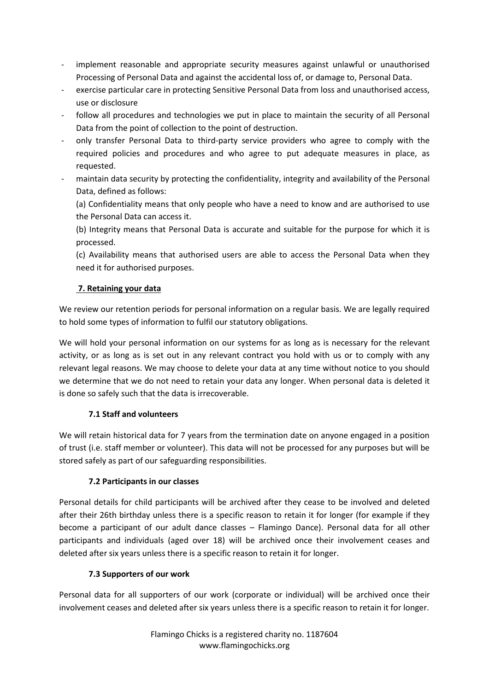- implement reasonable and appropriate security measures against unlawful or unauthorised Processing of Personal Data and against the accidental loss of, or damage to, Personal Data.
- exercise particular care in protecting Sensitive Personal Data from loss and unauthorised access, use or disclosure
- follow all procedures and technologies we put in place to maintain the security of all Personal Data from the point of collection to the point of destruction.
- only transfer Personal Data to third-party service providers who agree to comply with the required policies and procedures and who agree to put adequate measures in place, as requested.
- maintain data security by protecting the confidentiality, integrity and availability of the Personal Data, defined as follows:

(a) Confidentiality means that only people who have a need to know and are authorised to use the Personal Data can access it.

(b) Integrity means that Personal Data is accurate and suitable for the purpose for which it is processed.

(c) Availability means that authorised users are able to access the Personal Data when they need it for authorised purposes.

# **7. Retaining your data**

We review our retention periods for personal information on a regular basis. We are legally required to hold some types of information to fulfil our statutory obligations.

We will hold your personal information on our systems for as long as is necessary for the relevant activity, or as long as is set out in any relevant contract you hold with us or to comply with any relevant legal reasons. We may choose to delete your data at any time without notice to you should we determine that we do not need to retain your data any longer. When personal data is deleted it is done so safely such that the data is irrecoverable.

# **7.1 Staff and volunteers**

We will retain historical data for 7 years from the termination date on anyone engaged in a position of trust (i.e. staff member or volunteer). This data will not be processed for any purposes but will be stored safely as part of our safeguarding responsibilities.

# **7.2 Participants in our classes**

Personal details for child participants will be archived after they cease to be involved and deleted after their 26th birthday unless there is a specific reason to retain it for longer (for example if they become a participant of our adult dance classes – Flamingo Dance). Personal data for all other participants and individuals (aged over 18) will be archived once their involvement ceases and deleted after six years unless there is a specific reason to retain it for longer.

# **7.3 Supporters of our work**

Personal data for all supporters of our work (corporate or individual) will be archived once their involvement ceases and deleted after six years unless there is a specific reason to retain it for longer.